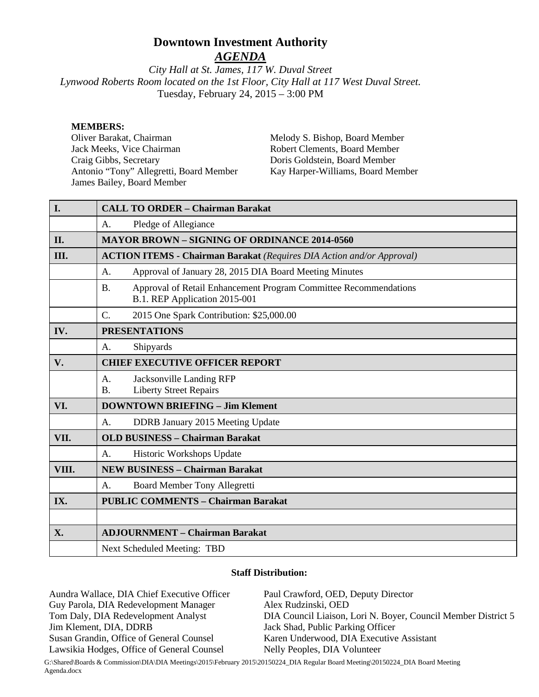# **Downtown Investment Authority**

*AGENDA*

*City Hall at St. James, 117 W. Duval Street Lynwood Roberts Room located on the 1st Floor, City Hall at 117 West Duval Street.*  Tuesday, February 24, 2015 – 3:00 PM

#### **MEMBERS:**

Oliver Barakat, Chairman Jack Meeks, Vice Chairman Craig Gibbs, Secretary Antonio "Tony" Allegretti, Board Member James Bailey, Board Member

Melody S. Bishop, Board Member Robert Clements, Board Member Doris Goldstein, Board Member Kay Harper-Williams, Board Member

| I.    | <b>CALL TO ORDER - Chairman Barakat</b>                                                                        |
|-------|----------------------------------------------------------------------------------------------------------------|
|       | Pledge of Allegiance<br>A.                                                                                     |
| II.   | <b>MAYOR BROWN - SIGNING OF ORDINANCE 2014-0560</b>                                                            |
| III.  | <b>ACTION ITEMS - Chairman Barakat</b> (Requires DIA Action and/or Approval)                                   |
|       | Approval of January 28, 2015 DIA Board Meeting Minutes<br>A.                                                   |
|       | Approval of Retail Enhancement Program Committee Recommendations<br><b>B.</b><br>B.1. REP Application 2015-001 |
|       | $\mathcal{C}$ .<br>2015 One Spark Contribution: \$25,000.00                                                    |
| IV.   | <b>PRESENTATIONS</b>                                                                                           |
|       | Shipyards<br>A.                                                                                                |
| V.    | <b>CHIEF EXECUTIVE OFFICER REPORT</b>                                                                          |
|       | <b>Jacksonville Landing RFP</b><br>A <sub>1</sub><br><b>Liberty Street Repairs</b><br><b>B.</b>                |
| VI.   | <b>DOWNTOWN BRIEFING - Jim Klement</b>                                                                         |
|       | DDRB January 2015 Meeting Update<br>$\mathsf{A}$ .                                                             |
| VII.  | <b>OLD BUSINESS - Chairman Barakat</b>                                                                         |
|       | Historic Workshops Update<br>A <sub>1</sub>                                                                    |
| VIII. | <b>NEW BUSINESS - Chairman Barakat</b>                                                                         |
|       | <b>Board Member Tony Allegretti</b><br>A.                                                                      |
| IX.   | <b>PUBLIC COMMENTS - Chairman Barakat</b>                                                                      |
|       |                                                                                                                |
| X.    | <b>ADJOURNMENT - Chairman Barakat</b>                                                                          |
|       | Next Scheduled Meeting: TBD                                                                                    |

#### **Staff Distribution:**

Aundra Wallace, DIA Chief Executive Officer Guy Parola, DIA Redevelopment Manager Tom Daly, DIA Redevelopment Analyst Jim Klement, DIA, DDRB Susan Grandin, Office of General Counsel Lawsikia Hodges, Office of General Counsel Paul Crawford, OED, Deputy Director Alex Rudzinski, OED DIA Council Liaison, Lori N. Boyer, Council Member District 5 Jack Shad, Public Parking Officer Karen Underwood, DIA Executive Assistant Nelly Peoples, DIA Volunteer

G:\Shared\Boards & Commission\DIA\DIA Meetings\2015\February 2015\20150224\_DIA Regular Board Meeting\20150224\_DIA Board Meeting Agenda.docx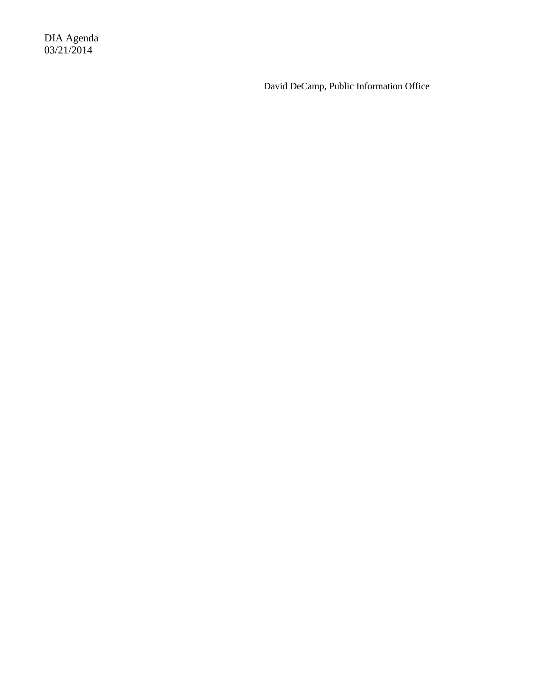DIA Agenda 03/21/2014

David DeCamp, Public Information Office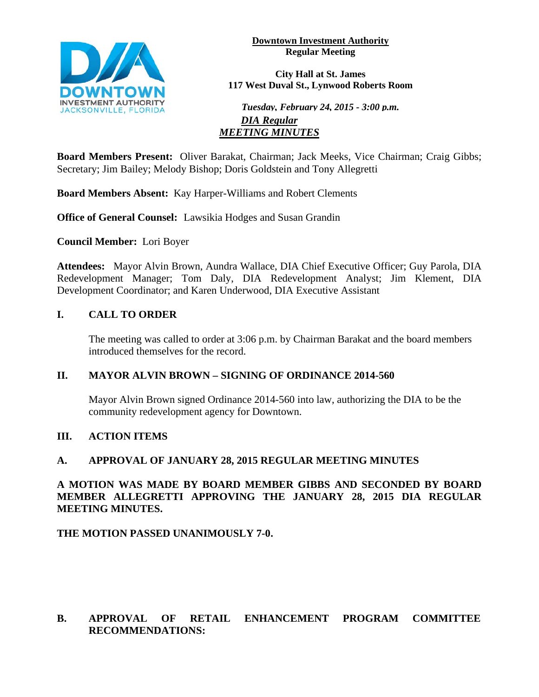

**Downtown Investment Authority Regular Meeting** 

**City Hall at St. James 117 West Duval St., Lynwood Roberts Room**

*Tuesday, February 24, 2015 - 3:00 p.m. DIA Regular MEETING MINUTES*

**Board Members Present:** Oliver Barakat, Chairman; Jack Meeks, Vice Chairman; Craig Gibbs; Secretary; Jim Bailey; Melody Bishop; Doris Goldstein and Tony Allegretti

**Board Members Absent:** Kay Harper-Williams and Robert Clements

**Office of General Counsel:** Lawsikia Hodges and Susan Grandin

**Council Member:** Lori Boyer

**Attendees:** Mayor Alvin Brown, Aundra Wallace, DIA Chief Executive Officer; Guy Parola, DIA Redevelopment Manager; Tom Daly, DIA Redevelopment Analyst; Jim Klement, DIA Development Coordinator; and Karen Underwood, DIA Executive Assistant

## **I. CALL TO ORDER**

The meeting was called to order at 3:06 p.m. by Chairman Barakat and the board members introduced themselves for the record.

## **II. MAYOR ALVIN BROWN – SIGNING OF ORDINANCE 2014-560**

Mayor Alvin Brown signed Ordinance 2014-560 into law, authorizing the DIA to be the community redevelopment agency for Downtown.

## **III. ACTION ITEMS**

### **A. APPROVAL OF JANUARY 28, 2015 REGULAR MEETING MINUTES**

## **A MOTION WAS MADE BY BOARD MEMBER GIBBS AND SECONDED BY BOARD MEMBER ALLEGRETTI APPROVING THE JANUARY 28, 2015 DIA REGULAR MEETING MINUTES.**

## **THE MOTION PASSED UNANIMOUSLY 7-0.**

## **B. APPROVAL OF RETAIL ENHANCEMENT PROGRAM COMMITTEE RECOMMENDATIONS:**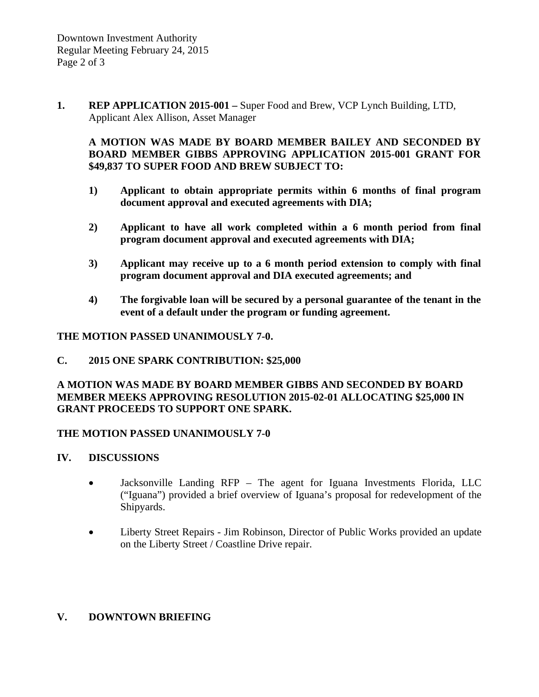**1. REP APPLICATION 2015-001 –** Super Food and Brew, VCP Lynch Building, LTD, Applicant Alex Allison, Asset Manager

## **A MOTION WAS MADE BY BOARD MEMBER BAILEY AND SECONDED BY BOARD MEMBER GIBBS APPROVING APPLICATION 2015-001 GRANT FOR \$49,837 TO SUPER FOOD AND BREW SUBJECT TO:**

- **1) Applicant to obtain appropriate permits within 6 months of final program document approval and executed agreements with DIA;**
- **2) Applicant to have all work completed within a 6 month period from final program document approval and executed agreements with DIA;**
- **3) Applicant may receive up to a 6 month period extension to comply with final program document approval and DIA executed agreements; and**
- **4) The forgivable loan will be secured by a personal guarantee of the tenant in the event of a default under the program or funding agreement.**

## **THE MOTION PASSED UNANIMOUSLY 7-0.**

### **C. 2015 ONE SPARK CONTRIBUTION: \$25,000**

## **A MOTION WAS MADE BY BOARD MEMBER GIBBS AND SECONDED BY BOARD MEMBER MEEKS APPROVING RESOLUTION 2015-02-01 ALLOCATING \$25,000 IN GRANT PROCEEDS TO SUPPORT ONE SPARK.**

## **THE MOTION PASSED UNANIMOUSLY 7-0**

## **IV. DISCUSSIONS**

- Jacksonville Landing RFP The agent for Iguana Investments Florida, LLC ("Iguana") provided a brief overview of Iguana's proposal for redevelopment of the Shipyards.
- Liberty Street Repairs Jim Robinson, Director of Public Works provided an update on the Liberty Street / Coastline Drive repair.

# **V. DOWNTOWN BRIEFING**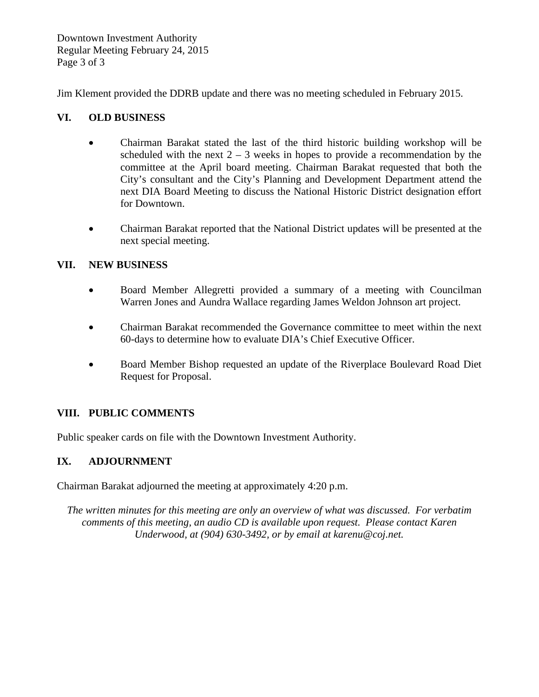Downtown Investment Authority Regular Meeting February 24, 2015 Page 3 of 3

Jim Klement provided the DDRB update and there was no meeting scheduled in February 2015.

## **VI. OLD BUSINESS**

- Chairman Barakat stated the last of the third historic building workshop will be scheduled with the next  $2 - 3$  weeks in hopes to provide a recommendation by the committee at the April board meeting. Chairman Barakat requested that both the City's consultant and the City's Planning and Development Department attend the next DIA Board Meeting to discuss the National Historic District designation effort for Downtown.
- Chairman Barakat reported that the National District updates will be presented at the next special meeting.

## **VII. NEW BUSINESS**

- Board Member Allegretti provided a summary of a meeting with Councilman Warren Jones and Aundra Wallace regarding James Weldon Johnson art project.
- Chairman Barakat recommended the Governance committee to meet within the next 60-days to determine how to evaluate DIA's Chief Executive Officer.
- Board Member Bishop requested an update of the Riverplace Boulevard Road Diet Request for Proposal.

# **VIII. PUBLIC COMMENTS**

Public speaker cards on file with the Downtown Investment Authority.

# **IX. ADJOURNMENT**

Chairman Barakat adjourned the meeting at approximately 4:20 p.m.

*The written minutes for this meeting are only an overview of what was discussed. For verbatim comments of this meeting, an audio CD is available upon request. Please contact Karen Underwood, at (904) 630-3492, or by email at karenu@coj.net.*